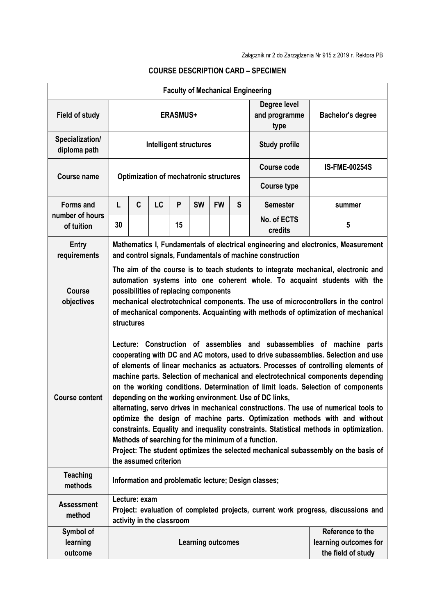|                                                   |                                                                                                                                                                                                                                                                                                                                                                                                                                                                                                                                                                                                                                                                                                                                                                                                                                                                                                                            |                                                                                                                                 |           |    |                          |           |                                       | <b>Faculty of Mechanical Engineering</b> |                                                                 |
|---------------------------------------------------|----------------------------------------------------------------------------------------------------------------------------------------------------------------------------------------------------------------------------------------------------------------------------------------------------------------------------------------------------------------------------------------------------------------------------------------------------------------------------------------------------------------------------------------------------------------------------------------------------------------------------------------------------------------------------------------------------------------------------------------------------------------------------------------------------------------------------------------------------------------------------------------------------------------------------|---------------------------------------------------------------------------------------------------------------------------------|-----------|----|--------------------------|-----------|---------------------------------------|------------------------------------------|-----------------------------------------------------------------|
| <b>Field of study</b>                             | <b>ERASMUS+</b>                                                                                                                                                                                                                                                                                                                                                                                                                                                                                                                                                                                                                                                                                                                                                                                                                                                                                                            |                                                                                                                                 |           |    |                          |           | Degree level<br>and programme<br>type | <b>Bachelor's degree</b>                 |                                                                 |
| Specialization/<br>diploma path                   | Intelligent structures                                                                                                                                                                                                                                                                                                                                                                                                                                                                                                                                                                                                                                                                                                                                                                                                                                                                                                     |                                                                                                                                 |           |    |                          |           |                                       | <b>Study profile</b>                     |                                                                 |
| Course name                                       | <b>Optimization of mechatronic structures</b>                                                                                                                                                                                                                                                                                                                                                                                                                                                                                                                                                                                                                                                                                                                                                                                                                                                                              |                                                                                                                                 |           |    |                          |           |                                       | <b>Course code</b>                       | <b>IS-FME-00254S</b>                                            |
|                                                   |                                                                                                                                                                                                                                                                                                                                                                                                                                                                                                                                                                                                                                                                                                                                                                                                                                                                                                                            |                                                                                                                                 |           |    |                          |           |                                       | <b>Course type</b>                       |                                                                 |
| <b>Forms and</b><br>number of hours<br>of tuition | L                                                                                                                                                                                                                                                                                                                                                                                                                                                                                                                                                                                                                                                                                                                                                                                                                                                                                                                          | C                                                                                                                               | <b>LC</b> | P  | <b>SW</b>                | <b>FW</b> | S                                     | <b>Semester</b>                          | summer                                                          |
|                                                   | 30                                                                                                                                                                                                                                                                                                                                                                                                                                                                                                                                                                                                                                                                                                                                                                                                                                                                                                                         |                                                                                                                                 |           | 15 |                          |           |                                       | No. of ECTS<br>credits                   | 5                                                               |
| Entry<br>requirements                             | Mathematics I, Fundamentals of electrical engineering and electronics, Measurement<br>and control signals, Fundamentals of machine construction                                                                                                                                                                                                                                                                                                                                                                                                                                                                                                                                                                                                                                                                                                                                                                            |                                                                                                                                 |           |    |                          |           |                                       |                                          |                                                                 |
| <b>Course</b><br>objectives                       | The aim of the course is to teach students to integrate mechanical, electronic and<br>automation systems into one coherent whole. To acquaint students with the<br>possibilities of replacing components<br>mechanical electrotechnical components. The use of microcontrollers in the control<br>of mechanical components. Acquainting with methods of optimization of mechanical<br>structures                                                                                                                                                                                                                                                                                                                                                                                                                                                                                                                           |                                                                                                                                 |           |    |                          |           |                                       |                                          |                                                                 |
| <b>Course content</b>                             | Lecture: Construction of assemblies and subassemblies of machine parts<br>cooperating with DC and AC motors, used to drive subassemblies. Selection and use<br>of elements of linear mechanics as actuators. Processes of controlling elements of<br>machine parts. Selection of mechanical and electrotechnical components depending<br>on the working conditions. Determination of limit loads. Selection of components<br>depending on the working environment. Use of DC links,<br>alternating, servo drives in mechanical constructions. The use of numerical tools to<br>optimize the design of machine parts. Optimization methods with and without<br>constraints. Equality and inequality constraints. Statistical methods in optimization.<br>Methods of searching for the minimum of a function.<br>Project: The student optimizes the selected mechanical subassembly on the basis of<br>the assumed criterion |                                                                                                                                 |           |    |                          |           |                                       |                                          |                                                                 |
| <b>Teaching</b><br>methods                        | Information and problematic lecture; Design classes;                                                                                                                                                                                                                                                                                                                                                                                                                                                                                                                                                                                                                                                                                                                                                                                                                                                                       |                                                                                                                                 |           |    |                          |           |                                       |                                          |                                                                 |
| <b>Assessment</b><br>method                       |                                                                                                                                                                                                                                                                                                                                                                                                                                                                                                                                                                                                                                                                                                                                                                                                                                                                                                                            | Lecture: exam<br>Project: evaluation of completed projects, current work progress, discussions and<br>activity in the classroom |           |    |                          |           |                                       |                                          |                                                                 |
| Symbol of<br>learning<br>outcome                  |                                                                                                                                                                                                                                                                                                                                                                                                                                                                                                                                                                                                                                                                                                                                                                                                                                                                                                                            |                                                                                                                                 |           |    | <b>Learning outcomes</b> |           |                                       |                                          | Reference to the<br>learning outcomes for<br>the field of study |

## **COURSE DESCRIPTION CARD – SPECIMEN**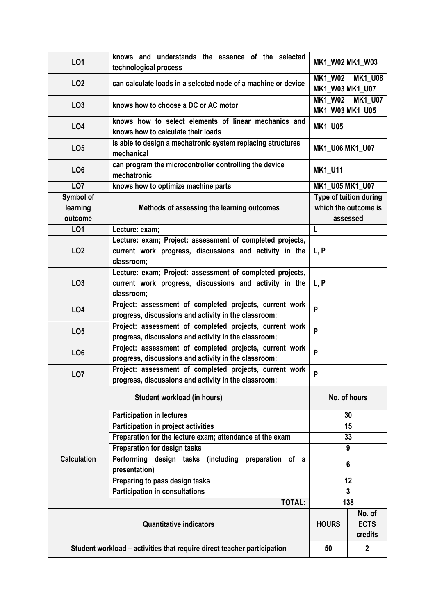| LO1                                                                     | knows and understands the essence of the selected<br>technological process                   | MK1 W02 MK1 W03                                     |                        |  |  |  |  |
|-------------------------------------------------------------------------|----------------------------------------------------------------------------------------------|-----------------------------------------------------|------------------------|--|--|--|--|
| LO <sub>2</sub>                                                         | can calculate loads in a selected node of a machine or device                                | <b>MK1 W02</b><br><b>MK1 U08</b><br>MK1 W03 MK1 U07 |                        |  |  |  |  |
| LO <sub>3</sub>                                                         | <b>MK1 W02</b><br>knows how to choose a DC or AC motor<br>MK1_W03 MK1_U05                    |                                                     |                        |  |  |  |  |
| L04                                                                     | knows how to select elements of linear mechanics and<br>knows how to calculate their loads   | <b>MK1_U05</b>                                      |                        |  |  |  |  |
| LO <sub>5</sub>                                                         | is able to design a mechatronic system replacing structures<br>MK1 U06 MK1 U07<br>mechanical |                                                     |                        |  |  |  |  |
| LO <sub>6</sub>                                                         | can program the microcontroller controlling the device<br>mechatronic                        | <b>MK1_U11</b>                                      |                        |  |  |  |  |
| LO <sub>7</sub>                                                         | knows how to optimize machine parts                                                          | MK1_U05 MK1_U07                                     |                        |  |  |  |  |
| Symbol of                                                               |                                                                                              |                                                     | Type of tuition during |  |  |  |  |
| learning                                                                | Methods of assessing the learning outcomes                                                   | which the outcome is                                |                        |  |  |  |  |
| outcome                                                                 |                                                                                              |                                                     | assessed               |  |  |  |  |
| LO1                                                                     | Lecture: exam;                                                                               | L                                                   |                        |  |  |  |  |
|                                                                         | Lecture: exam; Project: assessment of completed projects,                                    |                                                     |                        |  |  |  |  |
| LO <sub>2</sub>                                                         | current work progress, discussions and activity in the                                       | L, P                                                |                        |  |  |  |  |
|                                                                         | classroom;                                                                                   |                                                     |                        |  |  |  |  |
|                                                                         | Lecture: exam; Project: assessment of completed projects,                                    |                                                     |                        |  |  |  |  |
| LO <sub>3</sub>                                                         | current work progress, discussions and activity in the                                       | L, P                                                |                        |  |  |  |  |
|                                                                         | classroom;                                                                                   |                                                     |                        |  |  |  |  |
|                                                                         | Project: assessment of completed projects, current work                                      |                                                     |                        |  |  |  |  |
| <b>LO4</b>                                                              | progress, discussions and activity in the classroom;                                         | P                                                   |                        |  |  |  |  |
|                                                                         | Project: assessment of completed projects, current work                                      |                                                     |                        |  |  |  |  |
| LO <sub>5</sub>                                                         | progress, discussions and activity in the classroom;                                         | P                                                   |                        |  |  |  |  |
|                                                                         | Project: assessment of completed projects, current work                                      |                                                     |                        |  |  |  |  |
| LO <sub>6</sub>                                                         | progress, discussions and activity in the classroom;                                         | P                                                   |                        |  |  |  |  |
|                                                                         | Project: assessment of completed projects, current work                                      |                                                     |                        |  |  |  |  |
| LO <sub>7</sub>                                                         | progress, discussions and activity in the classroom;                                         | P                                                   |                        |  |  |  |  |
|                                                                         | No. of hours                                                                                 |                                                     |                        |  |  |  |  |
|                                                                         | <b>Participation in lectures</b>                                                             |                                                     | 30                     |  |  |  |  |
|                                                                         | <b>Participation in project activities</b>                                                   | 15                                                  |                        |  |  |  |  |
|                                                                         | Preparation for the lecture exam; attendance at the exam                                     | 33                                                  |                        |  |  |  |  |
|                                                                         | <b>Preparation for design tasks</b>                                                          | 9                                                   |                        |  |  |  |  |
| <b>Calculation</b>                                                      | Performing design tasks (including<br>preparation of a                                       |                                                     |                        |  |  |  |  |
|                                                                         | presentation)                                                                                | 6                                                   |                        |  |  |  |  |
|                                                                         | Preparing to pass design tasks                                                               | 12                                                  |                        |  |  |  |  |
|                                                                         | <b>Participation in consultations</b>                                                        | 3                                                   |                        |  |  |  |  |
|                                                                         | <b>TOTAL:</b>                                                                                | 138                                                 |                        |  |  |  |  |
|                                                                         |                                                                                              |                                                     | No. of                 |  |  |  |  |
|                                                                         | <b>HOURS</b>                                                                                 | <b>ECTS</b>                                         |                        |  |  |  |  |
|                                                                         |                                                                                              | credits                                             |                        |  |  |  |  |
| Student workload - activities that require direct teacher participation | 50                                                                                           | $\mathbf{2}$                                        |                        |  |  |  |  |